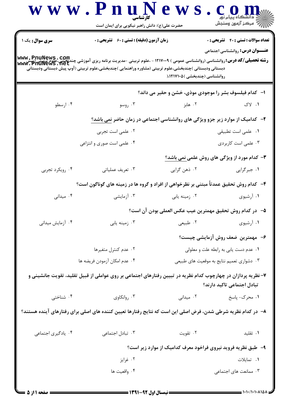|                        | www.PnuNews<br>حضرت علی(ع): دانش راهبر نیکویی برای ایمان است                                                                                                                                                                                                                                                             |                                                                               | ڪ دانشگاه پيام نور<br>  77 مرکز آزمون وسنڊش                                            |
|------------------------|--------------------------------------------------------------------------------------------------------------------------------------------------------------------------------------------------------------------------------------------------------------------------------------------------------------------------|-------------------------------------------------------------------------------|----------------------------------------------------------------------------------------|
| <b>سری سوال :</b> یک ۱ | <b>زمان آزمون (دقیقه) : تستی : 60 ٪ تشریحی : 0</b><br><b>رشته تحصیلی/کد درس: روانشناسی (روانشناسی عمومی ) ۱۲۱۷۰۰۹ - ،علوم تربیتی -مدیریت برنامه ریزی آموزشی چندیخشی،علوم تریپتی(پیش<br/>WWW. PHUNeWS . Net</b><br>دبستانی ودبستانی )چندبخشی،علوم تربیتی (مشاوره وراهنمایی )چندبخشی،علوم تربیتی (آوپ پیش دبستانی ودبستانی |                                                                               | <b>تعداد سوالات : تستي : 40 - تشريحي : 0</b><br><b>عنـــوان درس:</b> روانشناسی اجتماعی |
|                        |                                                                                                                                                                                                                                                                                                                          | روانشناسی (چندبخشی )۱۲۱۷۱۰۵،(                                                 |                                                                                        |
|                        |                                                                                                                                                                                                                                                                                                                          | ا– کدام فیلسوف بشر را موجودی موذی، خشن و حقیر می داند؟                        |                                                                                        |
| ۰۴ ارسطو               | ۰۳ روسو                                                                                                                                                                                                                                                                                                                  | ۰۲ هابز                                                                       | ۰۱ لاک                                                                                 |
|                        |                                                                                                                                                                                                                                                                                                                          | ۲- کدامیک از موارد زیر جزو ویژگی های روانشناسی اجتماعی در زمان حاضر نمی باشد؟ |                                                                                        |
|                        | ۰۲ علمی است تجربی                                                                                                                                                                                                                                                                                                        |                                                                               | ٠١ علمي است تطبيقي                                                                     |
|                        | ۰۴ علمی است صوری و انتزاعی                                                                                                                                                                                                                                                                                               |                                                                               | ۰۳ علمی است کاربردی                                                                    |
|                        |                                                                                                                                                                                                                                                                                                                          |                                                                               | <b>۳</b> - کدام مورد از ویژگی های روش علمی نمی باشد؟                                   |
| ۰۴ رویکرد تجربی        | ۰۳ تعریف عملیاتی                                                                                                                                                                                                                                                                                                         | ۲. ذهن گرايي                                                                  | ۰۱ جبرگرایی                                                                            |
|                        | ۴- کدام روش تحقیق عمدتاً مبتنی بر نظرخواهی از افراد و گروه ها در زمینه های گوناگون است؟                                                                                                                                                                                                                                  |                                                                               |                                                                                        |
| ۰۴ میدانی              | ۰۳ آزمایشی                                                                                                                                                                                                                                                                                                               | ۰۲ زمینه یابی                                                                 | ۰۱ آرشیوی                                                                              |
|                        |                                                                                                                                                                                                                                                                                                                          | ۵−۔ در کدام روش تحقیق مهمترین عیب عکس العملی بودن آن است؟                     |                                                                                        |
| ۰۴ آزمایش میدانی       | ۰۳ زمینه یابی                                                                                                                                                                                                                                                                                                            | ۰۲ طبیعی                                                                      | ۰۱ آرشیوی                                                                              |
|                        |                                                                                                                                                                                                                                                                                                                          |                                                                               | ۶- مهمترین ضعف روش آزمایشی چیست؟                                                       |
|                        | ۰۲ عدم کنترل متغیرها                                                                                                                                                                                                                                                                                                     |                                                                               | ٠١ عدم دست يابي به رابطه علت و معلولي                                                  |
|                        | ۴. عدم امكان آزمودن فريضه ها                                                                                                                                                                                                                                                                                             |                                                                               | ۰۳ دشواري تعميم نتايج به موقعيت هاي طبيعي                                              |
|                        | ۷– نظریه پردازان در چهارچوب کدام نظریه در تبیین رفتارهای اجتماعی بر روی عواملی از قبیل تقلید، تقویت جانشینی و                                                                                                                                                                                                            |                                                                               | تبادل اجتماعی تاکید دارند؟                                                             |
| ۰۴ شناختی              | ۰۳ روانکاوی                                                                                                                                                                                                                                                                                                              | ۰۲ میدانی                                                                     | ۰۱ محرک- پاسخ                                                                          |
|                        | ۸– در کدام نظریه شرطی شدن، فرض اصلی این است که نتایج رفتارها تعیین کننده های اصلی برای رفتارهای آینده هستند؟                                                                                                                                                                                                             |                                                                               |                                                                                        |
| ۰۴ يادگيري اجتماعي     | ۰۳ تبادل اجتماعی                                                                                                                                                                                                                                                                                                         | ۰۲ تقویت                                                                      | ٠١ تقليد                                                                               |
|                        |                                                                                                                                                                                                                                                                                                                          | ۹- ً طبق نظریه فروید نیروی فراخود معرف کدامیک از موارد زیر است؟               |                                                                                        |
|                        | ۰۲ غرایز                                                                                                                                                                                                                                                                                                                 |                                                                               | ٠١. تمايلات                                                                            |
|                        | ۰۴ واقعیت ها                                                                                                                                                                                                                                                                                                             |                                                                               | ۰۳ ممانعت های اجتماعی                                                                  |
|                        |                                                                                                                                                                                                                                                                                                                          |                                                                               |                                                                                        |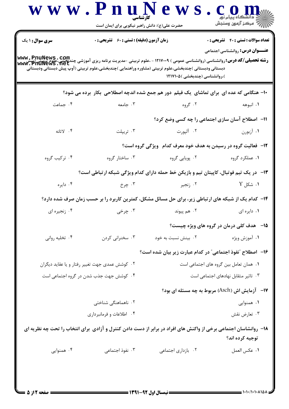| <b>سری سوال : ۱ یک</b>                         | <b>زمان آزمون (دقیقه) : تستی : 60 ٪ تشریحی : 0</b> |                                                                                                                                                          | <b>تعداد سوالات : تستی : 40 قشریحی : 0</b>       |
|------------------------------------------------|----------------------------------------------------|----------------------------------------------------------------------------------------------------------------------------------------------------------|--------------------------------------------------|
|                                                |                                                    |                                                                                                                                                          | <b>عنـــوان درس:</b> روانشناسی اجتماعی           |
|                                                |                                                    | <b>رشته تحصیلی/کد درس: روانشناسی (روانشناسی عمومی ) ۱۲۱۷۰۰۹ - ،علوم تربیتی -مدیریت برنامه ریزی آموزشی چندیخشی،علوم تریپتی(پیش<br/>Www. PnuNews . net</b> |                                                  |
|                                                |                                                    | دبستانی ودبستانی )چندبخشی،علوم تربیتی (مشاوره وراهنمایی )چندبخشی،علوم تربیتی (آوپ پیش دبستانی ودبستانی<br>)،روانشناسی (چندبخشی )۱۲۱۷۱۰۵                  |                                                  |
|                                                |                                                    | ۱۰- هنگامی که عده ای برای تماشای یک فیلم دور هم جمع شده اندچه اصطلاحی بکار برده می شود؟                                                                  |                                                  |
| ۰۴ جماعت                                       | ۰۳ جامعه                                           | ۰۲ گروه                                                                                                                                                  | ۰۱ انبوهه                                        |
|                                                |                                                    | 11- آصطلاح آسان سازی اجتماعی را چه کسی وضع کرد؟                                                                                                          |                                                  |
| ۰۴ لاتانه                                      | ۰۳ تریپلت                                          | ۲. آلپورت                                                                                                                                                | ۰۱ آزبورن                                        |
|                                                |                                                    | ۱۲- فعالیت گروه در رسیدن به هدف خود معرف کدام۔ویژگی گروه است؟                                                                                            |                                                  |
| ۰۴ ترکیب گروه                                  | ۰۳ ساختار گروه                                     | ۰۲ پویایی گروه                                                                                                                                           | ۰۱ عملکرد گروه                                   |
|                                                |                                                    | ۱۳-۔ در یک تیم فوتبال، کاپیتان تیم و بازیکن خط حمله دارای کدام ویژگی شبکه ارتباطی است؟                                                                   |                                                  |
| ۰۴ دايره                                       | ۰۳ چرخ                                             | ۰۲ زنجیر                                                                                                                                                 | ۰۱ شکل Y                                         |
|                                                |                                                    | ۱۴- کدام یک از شبکه های ارتباطی زیر، برای حل مسائل مشکل، کمترین کاربرد را بر حسب زمان صرف شده دارد؟                                                      |                                                  |
| ۰۴ زنجيره اي                                   | ۰۳ چرخی                                            | ۰۲ هم پیوند                                                                                                                                              | ۰۱ دایره ای                                      |
|                                                |                                                    |                                                                                                                                                          | <b>۱۵</b> - هدف کلی درمان در گروه های ویژه چیست؟ |
| ۰۴ تخلیه روانی                                 | ۰۳ سخنرانی کردن                                    | ۰۲ بینش نسبت به خود                                                                                                                                      | ۰۱ آموزش ويژه                                    |
|                                                |                                                    | ۱۶– اصطلاح "نفوذ اجتماعي" در كدام عبارت زير بيان شده است؟                                                                                                |                                                  |
| ۰۲ کوشش عمدی جهت تغییر رفتار و یا عقاید دیگران |                                                    |                                                                                                                                                          | ٠١ همان تعامل بين كروه هاى اجتماعى است           |
| ۰۴ کوشش جهت جذب شدن در گروه اجتماعی است        |                                                    |                                                                                                                                                          | ۰۳ تاثیر متقابل نهادهای اجتماعی است              |
|                                                |                                                    | ۱۷-۔ آزمایش اش (Asch) مربوط به چه مسئله ای بود؟                                                                                                          |                                                  |
|                                                | ۰۲ ناهماهنگی شناختی                                |                                                                                                                                                          | ۰۱ همنوایی                                       |
|                                                | ۰۴ اطلاعات و فرمانبرداری                           |                                                                                                                                                          | ۰۳ تعارض نقش                                     |
|                                                |                                                    | ۱۸− روانشاسان اجتماعی برخی از واکنش های افراد در برابر از دست دادن کنترل و آزادی برای انتخاب را تحت چه نظریه ای                                          | توجيه كرده اند؟                                  |
| ۰۴ همنوایی                                     | ۰۳ نفوذ اجتماعی                                    | ٠٢ بازداري اجتماعي                                                                                                                                       | ٠١. عكس العمل                                    |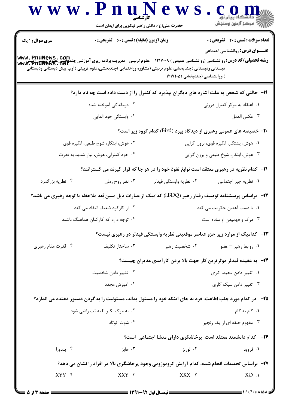|                                       |                                                    | حضرت علی(ع): دانش راهبر نیکویی برای ایمان است                                                                                           | اڪ دانشگاه پيام نور<br>   /> مرکز آزمون وسنڊش                                                                                                                                                      |  |
|---------------------------------------|----------------------------------------------------|-----------------------------------------------------------------------------------------------------------------------------------------|----------------------------------------------------------------------------------------------------------------------------------------------------------------------------------------------------|--|
|                                       | <b>زمان آزمون (دقیقه) : تستی : 60 ٪ تشریحی : 0</b> |                                                                                                                                         | <b>تعداد سوالات : تستی : 40 - تشریحی : 0</b>                                                                                                                                                       |  |
|                                       |                                                    |                                                                                                                                         | <b>عنـــوان درس:</b> روانشناسی اجتماعی<br><b>رشته تحصیلی/کد درس: روانشناسی (روانشناسی عمومی ) ۱۲۱۷۰۰۹ - ،علوم تربیتی -مدیریت برنامه ریزی آموزشی چندیخشی،علوم تریپتی(پیش<br/>WWW. PHUNeWS . Net</b> |  |
|                                       |                                                    | دبستاني ودبستاني )چندبخشي،علوم تربيتي (مشاوره وراهنمايي )چندبخشي،علوم تربيتي (آوپ پيش دبستاني ودبستاني<br>)،روانشناسی (چندبخشی )۱۲۱۷۱۰۵ |                                                                                                                                                                                                    |  |
|                                       |                                                    |                                                                                                                                         | ۱۹- حالتی که شخص به علت اشاره های دیگران بپذیرد که کنترل را از دست داده است چه نام دارد؟                                                                                                           |  |
|                                       | ۰۲ درماندگی آموخته شده                             |                                                                                                                                         | ۰۱ اعتقاد به مرکز کنترل درونی                                                                                                                                                                      |  |
|                                       | ۰۴ وابستگی خود القایی                              |                                                                                                                                         | ٠٣ عكس العمل                                                                                                                                                                                       |  |
|                                       |                                                    |                                                                                                                                         | <b>۲۰-</b> خصیصه های عمومی رهبری از دیدگاه بیرد (Bird) کدام گروه زیر است؟                                                                                                                          |  |
| ۰۲ هوش، ابتکار، شوخ طبعی، انگیزه قوی  |                                                    | ۰۱ هوش، پشتکار، انگیزه قوی، برون گرایی                                                                                                  |                                                                                                                                                                                                    |  |
| ۰۴ خود کنترلی، هوش، نیاز شدید به قدرت |                                                    | ۰۳ هوش، ابتکار، شوخ طبعی و برون گرایی                                                                                                   |                                                                                                                                                                                                    |  |
|                                       |                                                    |                                                                                                                                         | <b>۲۱</b> - کدام نظریه در رهبری معتقد است نوابغ نفوذ خود را در هر جا که قرار گیرند می گسترانند؟                                                                                                    |  |
|                                       | ۰۳ نظر روح زمان                                    | ۰۲ نظریه وابستگی فیدلر                                                                                                                  | ۰۱ نظریه جبر اجتماعی                                                                                                                                                                               |  |
|                                       |                                                    |                                                                                                                                         | ۲۲−۔ براساس پرسشنامه توصیف رفتار رهبر (LBDQ) کدامیک از عبارات ذیل مبین بُعد ملاحظه یا توجه رهبری می باشد؟                                                                                          |  |
| ۰۲ از کارکرد ضعیف انتقاد می کند       |                                                    |                                                                                                                                         | ۰۱. با دست آهنین حکومت می کند                                                                                                                                                                      |  |
|                                       | ۰۴ توجه دارد که کارکنان هماهنگ باشند               |                                                                                                                                         | ۰۳ درک و فهمیدن او ساده است                                                                                                                                                                        |  |
|                                       |                                                    |                                                                                                                                         | <b>۲۳</b> - کدامیک از موارد زیر جزو عناصر موقعیتی نظریه وابستگی فیدلر در رهبری نیست؟                                                                                                               |  |
|                                       | ۰۳ ساختار تکلیف                                    | ۰۲ شخصیت رهبر                                                                                                                           | ٠١. روابط رهبر – عضو                                                                                                                                                                               |  |
|                                       |                                                    |                                                                                                                                         | <b>۲۴</b> - به عقیده فیدلر موثرترین کار جهت بالا بردن کارآمدی مدیران چیست؟                                                                                                                         |  |
| ۰۲ تغییر دادن شخصیت                   |                                                    | ۰۱ تغییر دادن محیط کاری                                                                                                                 |                                                                                                                                                                                                    |  |
|                                       | ۰۴ آموزش مجدد                                      | ۰۳ تغییر دادن سبک کاری                                                                                                                  |                                                                                                                                                                                                    |  |
|                                       |                                                    |                                                                                                                                         | ۲۵–۔ در کدام مورد جلب اطاعت، فرد به جای اینکه خود را مسئول بداند، مسئولیت را به گردن دستور دهنده می اندازد؟                                                                                        |  |
| ۰۲ به مرگ بگیر تا به تب راضی شود      |                                                    |                                                                                                                                         | ۰۱ گام به گام                                                                                                                                                                                      |  |
|                                       | ۰۴ شوت کوتاه                                       |                                                                                                                                         | ۰۳ مفهوم حلقه ای از یک زنجیر                                                                                                                                                                       |  |
|                                       |                                                    |                                                                                                                                         | <b>۲۶</b> - کدام دانشمند معتقد است پرخاشگری دارای منشا اجتماعی است؟                                                                                                                                |  |
|                                       | ۰۳ هابز                                            | ۰۲ لورنز                                                                                                                                | ۰۱ فروید                                                                                                                                                                                           |  |
|                                       |                                                    |                                                                                                                                         | ۲۷- براساس تحقیقات انجام شده، کدام آرایش کروموزومی وجود پرخاشگری بالا در افراد را نشان می دهد؟                                                                                                     |  |
|                                       | $XXY$ . $\mathbf{r}$                               | XXX .Y                                                                                                                                  | XO.1                                                                                                                                                                                               |  |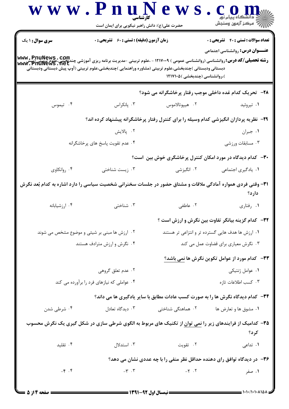| <b>سری سوال : ۱ یک</b>                     | <b>زمان آزمون (دقیقه) : تستی : 60 ٪ تشریحی : 0</b> |                                                                                                                                                                                                                                                                                                       | <b>تعداد سوالات : تستی : 40 قشریحی : 0</b><br><b>عنـــوان درس:</b> روانشناسی اجتماعی |
|--------------------------------------------|----------------------------------------------------|-------------------------------------------------------------------------------------------------------------------------------------------------------------------------------------------------------------------------------------------------------------------------------------------------------|--------------------------------------------------------------------------------------|
|                                            |                                                    | <b>رشته تحصیلی/کد درس: روانشناسی (روانشناسی عمومی ) ۱۲۱۷۰۰۹ - ،علوم تربیتی -مدیریت برنامه ریزی آموزشی چندبخشی،علوم درپیتی(پیش)<br/>www. PfiuNews . net</b><br>دبستانی ودبستانی )چندبخشی،علوم تربیتی (مشاوره وراهنمایی )چندبخشی،علوم تربیتی (آوپ پیش دبستانی ودبستانی<br>)،روانشناسی (چندبخشی )۱۲۱۷۱۰۵ |                                                                                      |
|                                            |                                                    | ۲۸-۔ تحریک کدام غدہ داخلی موجب رفتار پرخاشگرانه می شود؟                                                                                                                                                                                                                                               |                                                                                      |
| ۰۴ تیموس                                   | ۰۳ پانکراس                                         | ۰۲ هيپوتالاموس                                                                                                                                                                                                                                                                                        | ۰۱ تیروئید                                                                           |
|                                            |                                                    | ۲۹- نظریه پردازان انگیزشی کدام وسیله را برای کنترل رفتار پرخاشگرانه پیشنهاد کرده اند؟                                                                                                                                                                                                                 |                                                                                      |
|                                            | ۰۲ پالایش                                          |                                                                                                                                                                                                                                                                                                       | ۰۱ جبران                                                                             |
|                                            | ۰۴ عدم تقويت پاسخ های پرخاشگرانه                   |                                                                                                                                                                                                                                                                                                       | ۰۳ مسابقات ورزشی                                                                     |
|                                            |                                                    | ۳۰- کدام دیدگاه در مورد امکان کنترل پرخاشگری خوش بین است؟                                                                                                                                                                                                                                             |                                                                                      |
| ۰۴ روانکاوی                                | ۰۳ زیست شناختی                                     | ۰۲ انگیزشی                                                                                                                                                                                                                                                                                            | ٠١. يادگيري اجتماعي                                                                  |
|                                            |                                                    | ۳۱- وقتی فردی همواره آمادگی ملاقات و مشتاق حضور در جلسات سخنرانی شخصیت سیاسی را دارد اشاره به کدام بُعد نگرش                                                                                                                                                                                          | دارد؟                                                                                |
| ۰۴ ارزشيابانه                              | ۰۳ شناختی                                          | ۰۲ عاطفی                                                                                                                                                                                                                                                                                              | ۰۱ رفتاري                                                                            |
|                                            |                                                    | ۳۲– کدام گزینه بیانگر تفاوت بین نگرش و ارزش است ؟                                                                                                                                                                                                                                                     |                                                                                      |
|                                            | ۰۲ ارزش ها مبنی بر شیئی و موضوع مشخص می شوند       | ۰۱ ارزش ها هدف هایی گسترده تر و انتزاعی تر هستند                                                                                                                                                                                                                                                      |                                                                                      |
|                                            | ۰۴ نگرش و ارزش مترادف هستند                        |                                                                                                                                                                                                                                                                                                       | ۰۳ نگرش معیاری برای قضاوت عمل می کند                                                 |
|                                            |                                                    |                                                                                                                                                                                                                                                                                                       | <b>۳۳</b> - کدام مورد از عوامل تکوین نگرش ها نمی باشد؟                               |
|                                            | ۰۲ عدم تعلق گروهی                                  |                                                                                                                                                                                                                                                                                                       | ۰۱ عوامل ژنتیکی                                                                      |
| ۰۴ عواملی که نیازهای فرد را برآورده می کند |                                                    |                                                                                                                                                                                                                                                                                                       | ۰۳ کسب اطلاعات تازه                                                                  |
|                                            |                                                    | ۳۴- کدام دیدگاه نگرش ها را به صورت کسب عادات مطابق با سایر یادگیری ها می داند؟                                                                                                                                                                                                                        |                                                                                      |
| ۰۴ شرطی شدن                                | ۰۳ دیدگاه تعادل                                    | ۰۲ هماهنگی شناختی                                                                                                                                                                                                                                                                                     | ۰۱ مشوق ها و تعارض ها                                                                |
|                                            |                                                    | <b>۳۵</b> – کدامیک از فرایندهای زیر را <u>نمی توان</u> از تکنیک های مربوط به الگوی شرطی سازی در شکل گیری یک نگرش محسوب                                                                                                                                                                                | کر د؟                                                                                |
| ۰۴ تقلید                                   | ۰۳ استدلال                                         | ۰۲ تقویت                                                                                                                                                                                                                                                                                              | ۰۱ تداعی                                                                             |
|                                            |                                                    |                                                                                                                                                                                                                                                                                                       |                                                                                      |
|                                            |                                                    | ۳۶- در دیدگاه توافق رای دهنده حداقل نظر منفی را با چه عددی نشان می دهد؟                                                                                                                                                                                                                               |                                                                                      |